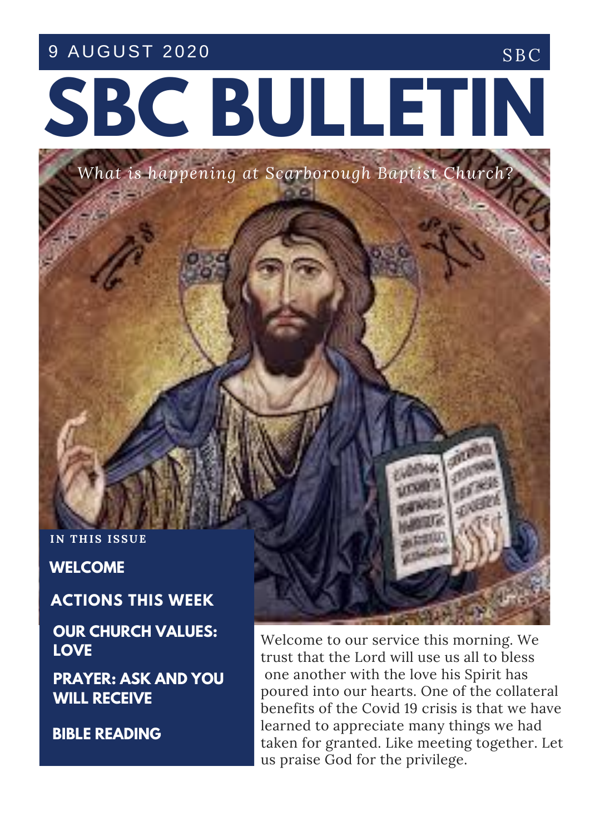9 AUGUST 2020 SBC

# **SBC BULLETIN**

*What is happening at Scarborough Baptist Chur* 

**IN THIS ISSUE** 

**WELCOME**

**ACTIONS THIS WEEK**

**OUR CHURCH VALUES: LOVE**

**PRAYER: ASK AND YOU WILL RECEIVE**

**BIBLE READING**

Welcome to our service this morning. We trust that the Lord will use us all to bless one another with the love his Spirit has poured into our hearts. One of the collateral benefits of the Covid 19 crisis is that we have learned to appreciate many things we had taken for granted. Like meeting together. Let us praise God for the privilege.

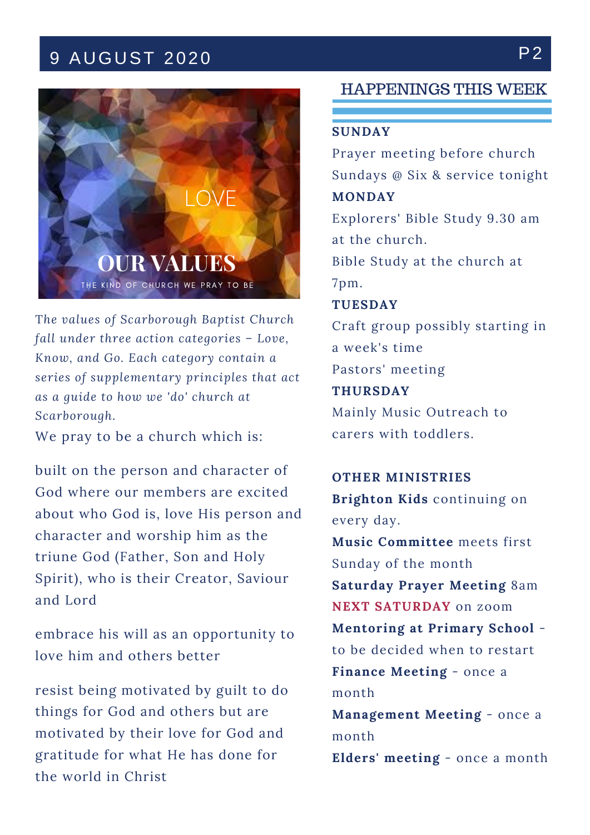# 9 AUGUST 2020 P2



T*he values of Scarborough Baptist Church fall under three action categories – Love, Know, and Go. Each category contain a series of supplementary principles that act as a guide to how we 'do' church at Scarborough.*

We pray to be a church which is:

built on the person and character of God where our members are excited about who God is, love His person and character and worship him as the triune God (Father, Son and Holy Spirit), who is their Creator, Saviour and Lord

embrace his will as an opportunity to love him and others better

resist being motivated by guilt to do things for God and others but are motivated by their love for God and gratitude for what He has done for the world in Christ

### HAPPENINGS THIS WEEK

#### **SUNDAY**

Prayer meeting before church Sundays @ Six & service tonight **MONDAY**

Explorers' Bible Study 9.30 am at the church.

Bible Study at the church at 7pm.

**TUESDAY**

Craft group possibly starting in a week's time Pastors' meeting

**THURSDAY** Mainly Music Outreach to carers with toddlers.

**OTHER MINISTRIES Brighton Kids** continuing on every day. **Music Committee** meets first Sunday of the month **Saturday Prayer Meeting** 8am **NEXT SATURDAY** on zoom **Mentoring at Primary School** to be decided when to restart **Finance Meeting** - once a month

**Management Meeting** - once a month

**Elders' meeting** - once a month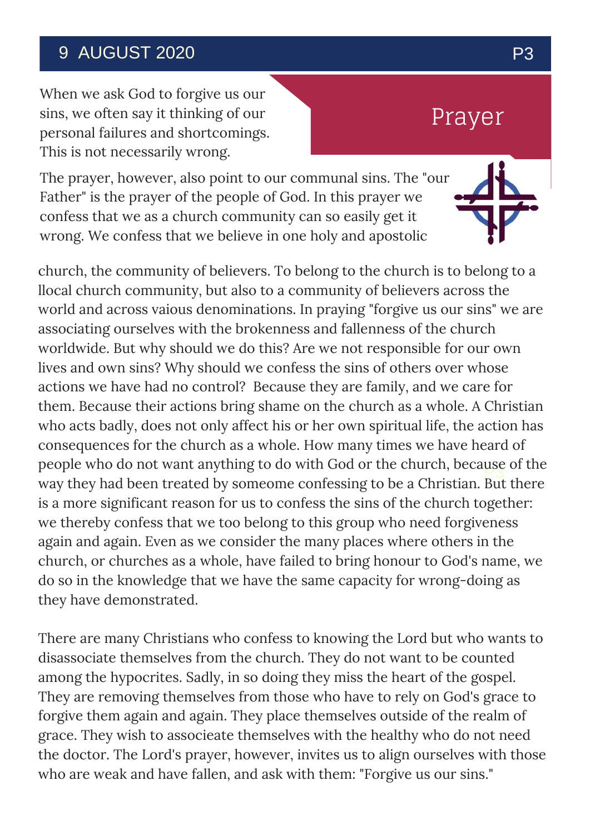## 9 AUGUST 2020 P3

When we ask God to forgive us our sins, we often say it thinking of our personal failures and shortcomings. This is not necessarily wrong.

# Prayer

The prayer, however, also point to our communal sins. The "our Father" is the prayer of the people of God. In this prayer we confess that we as a church community can so easily get it wrong. We confess that we believe in one holy and apostolic

 $\frac{\mu}{\rho}$ church, the community of believers. To belong to the church is to belong to a llocal church community, but also to a community of believers across the world and across vaious denominations. In praying "forgive us our sins" we are associating ourselves with the brokenness and fallenness of the church worldwide. But why should we do this? Are we not responsible for our own lives and own sins? Why should we confess the sins of others over whose actions we have had no control? Because they are family, and we care for them. Because their actions bring shame on the church as a whole. A Christian who acts badly, does not only affect his or her own spiritual life, the action has consequences for the church as a whole. How many times we have heard of people who do not want anything to do with God or the church, because of the way they had been treated by someome confessing to be a Christian. But there is a more significant reason for us to confess the sins of the church together: we thereby confess that we too belong to this group who need forgiveness again and again. Even as we consider the many places where others in the church, or churches as a whole, have failed to bring honour to God's name, we do so in the knowledge that we have the same capacity for wrong-doing as they have demonstrated.

There are many Christians who confess to knowing the Lord but who wants to disassociate themselves from the church. They do not want to be counted among the hypocrites. Sadly, in so doing they miss the heart of the gospel. They are removing themselves from those who have to rely on God's grace to forgive them again and again. They place themselves outside of the realm of grace. They wish to associeate themselves with the healthy who do not need the doctor. The Lord's prayer, however, invites us to align ourselves with those who are weak and have fallen, and ask with them: "Forgive us our sins."